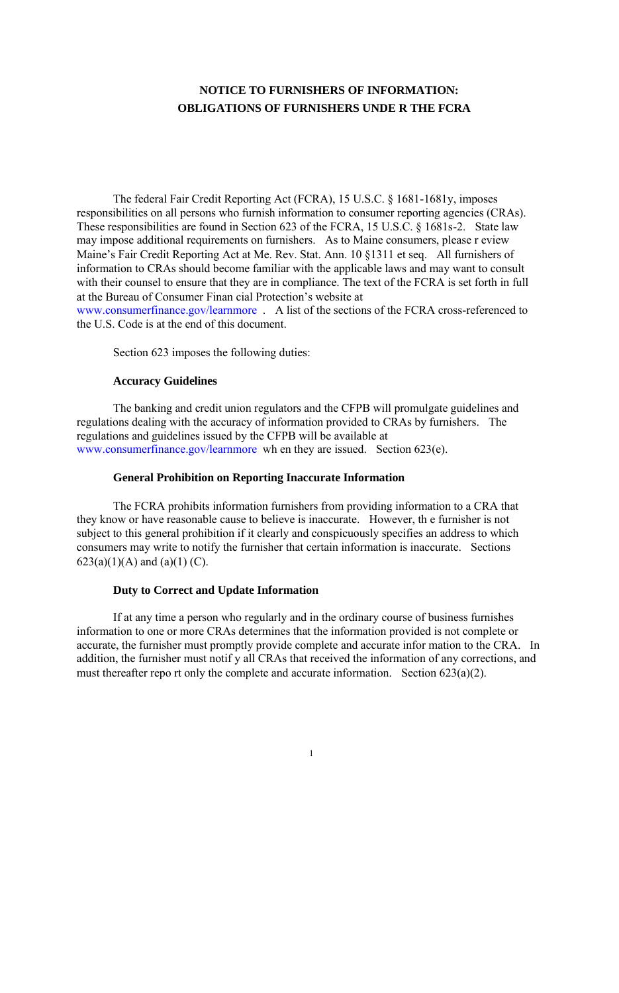# **NOTICE TO FURNISHERS OF INFORMATION: OBLIGATIONS OF FURNISHERS UNDE R THE FCRA**

The federal Fair Credit Reporting Act (FCRA), 15 U.S.C. § 1681-1681y, imposes responsibilities on all persons who furnish information to consumer reporting agencies (CRAs). These responsibilities are found in Section 623 of the FCRA, 15 U.S.C. § 1681s-2. State law may impose additional requirements on furnishers. As to Maine consumers, please r eview Maine's Fair Credit Reporting Act at Me. Rev. Stat. Ann. 10 §1311 et seq. All furnishers of information to CRAs should become familiar with the applicable laws and may want to consult with their counsel to ensure that they are in compliance. The text of the FCRA is set forth in full at the Bureau of Consumer Finan cial Protection's website at www.consumerfinance.gov/learnmore . A list of the sections of the FCRA cross-referenced to the U.S. Code is at the end of this document.

The FCRA prohibits information furnishers from providing information to a CRA that they know or have reasonable cause to believe is inaccurate. However, th e furnisher is not subject to this general prohibition if it clearly and conspicuously specifies an address to which consumers may write to notify the furnisher that certain information is inaccurate. Sections 623(a)(1)(A) and (a)(1) (C).

Section 623 imposes the following duties:

### **Accuracy Guidelines**

The banking and credit union regulators and the CFPB will promulgate guidelines and regulations dealing with the accuracy of information provided to CRAs by furnishers. The regulations and guidelines issued by the CFPB will be available at www.consumerfinance.gov/learnmore wh en they are issued. Section 623(e).

### **General Prohibition on Reporting Inaccurate Information**

### **Duty to Correct and Update Information**

If at any time a person who regularly and in the ordinary course of business furnishes information to one or more CRAs determines that the information provided is not complete or accurate, the furnisher must promptly provide complete and accurate infor mation to the CRA. In addition, the furnisher must notif y all CRAs that received the information of any corrections, and must thereafter repo rt only the complete and accurate information. Section 623(a)(2).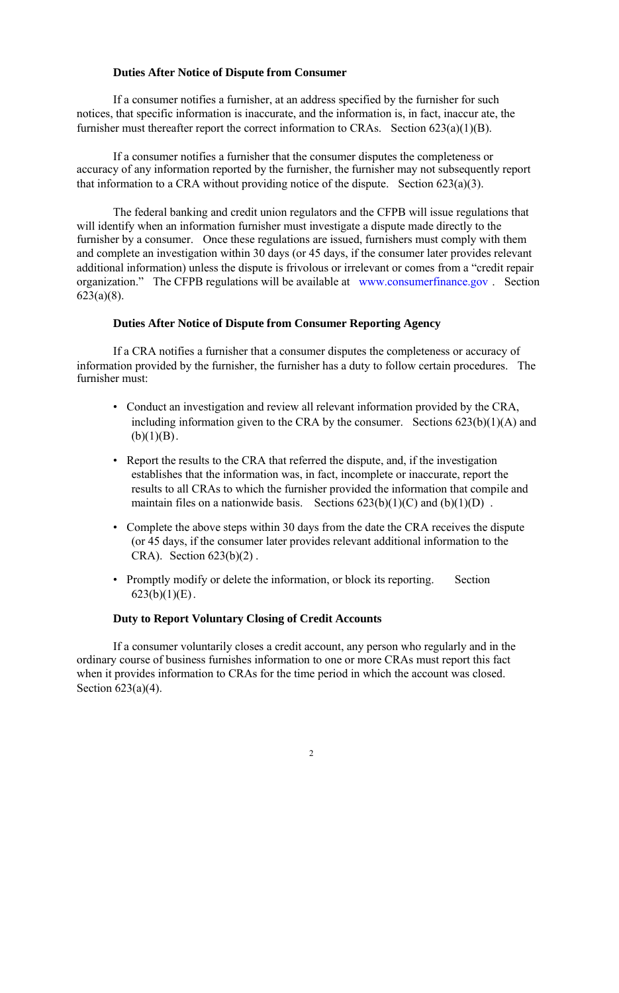# **Duties After Notice of Dispute from Consumer**

If a consumer notifies a furnisher, at an address specified by the furnisher for such notices, that specific information is inaccurate, and the information is, in fact, inaccur ate, the furnisher must thereafter report the correct information to CRAs. Section  $623(a)(1)(B)$ .

If a consumer notifies a furnisher that the consumer disputes the completeness or accuracy of any information reported by the furnisher, the furnisher may not subsequently report that information to a CRA without providing notice of the dispute. Section 623(a)(3).

- Conduct an investigation and review all relevant information provided by the CRA, including information given to the CRA by the consumer. Sections  $623(b)(1)(A)$  and  $(b)(1)(B)$ .
- Report the results to the CRA that referred the dispute, and, if the investigation establishes that the information was, in fact, incomplete or inaccurate, report the results to all CRAs to which the furnisher provided the information that compile and maintain files on a nationwide basis. Sections  $623(b)(1)(C)$  and  $(b)(1)(D)$ .
- Complete the above steps within 30 days from the date the CRA receives the dispute (or 45 days, if the consumer later provides relevant additional information to the CRA). Section 623(b)(2) .
- Promptly modify or delete the information, or block its reporting. Section  $623(b)(1)(E)$ .

The federal banking and credit union regulators and the CFPB will issue regulations that will identify when an information furnisher must investigate a dispute made directly to the furnisher by a consumer. Once these regulations are issued, furnishers must comply with them and complete an investigation within 30 days (or 45 days, if the consumer later provides relevant additional information) unless the dispute is frivolous or irrelevant or comes from a "credit repair organization." The CFPB regulations will be available at www.consumerfinance.gov . Section 623(a)(8).

# **Duties After Notice of Dispute from Consumer Reporting Agency**

If a CRA notifies a furnisher that a consumer disputes the completeness or accuracy of information provided by the furnisher, the furnisher has a duty to follow certain procedures. The furnisher must:

# **Duty to Report Voluntary Closing of Credit Accounts**

If a consumer voluntarily closes a credit account, any person who regularly and in the ordinary course of business furnishes information to one or more CRAs must report this fact when it provides information to CRAs for the time period in which the account was closed. Section 623(a)(4).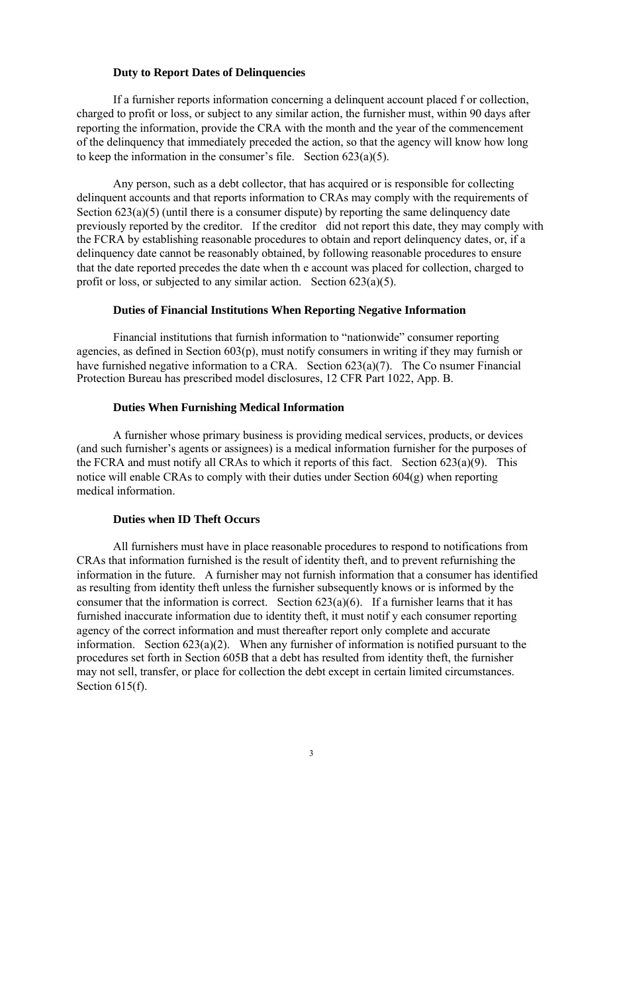### **Duty to Report Dates of Delinquencies**

If a furnisher reports information concerning a delinquent account placed f or collection, charged to profit or loss, or subject to any similar action, the furnisher must, within 90 days after reporting the information, provide the CRA with the month and the year of the commencement of the delinquency that immediately preceded the action, so that the agency will know how long to keep the information in the consumer's file. Section  $623(a)(5)$ .

Any person, such as a debt collector, that has acquired or is responsible for collecting delinquent accounts and that reports information to CRAs may comply with the requirements of Section  $623(a)(5)$  (until there is a consumer dispute) by reporting the same delinquency date previously reported by the creditor. If the creditor did not report this date, they may comply with the FCRA by establishing reasonable procedures to obtain and report delinquency dates, or, if a delinquency date cannot be reasonably obtained, by following reasonable procedures to ensure that the date reported precedes the date when th e account was placed for collection, charged to profit or loss, or subjected to any similar action. Section  $623(a)(5)$ .

All furnishers must have in place reasonable procedures to respond to notifications from CRAs that information furnished is the result of identity theft, and to prevent refurnishing the information in the future. A furnisher may not furnish information that a consumer has identified as resulting from identity theft unless the furnisher subsequently knows or is informed by the consumer that the information is correct. Section  $623(a)(6)$ . If a furnisher learns that it has furnished inaccurate information due to identity theft, it must notif y each consumer reporting agency of the correct information and must thereafter report only complete and accurate information. Section  $623(a)(2)$ . When any furnisher of information is notified pursuant to the procedures set forth in Section 605B that a debt has resulted from identity theft, the furnisher may not sell, transfer, or place for collection the debt except in certain limited circumstances. Section 615(f).

# **Duties of Financial Institutions When Reporting Negative Information**

Financial institutions that furnish information to "nationwide" consumer reporting agencies, as defined in Section 603(p), must notify consumers in writing if they may furnish or have furnished negative information to a CRA. Section 623(a)(7). The Co nsumer Financial Protection Bureau has prescribed model disclosures, 12 CFR Part 1022, App. B.

# **Duties When Furnishing Medical Information**

A furnisher whose primary business is providing medical services, products, or devices (and such furnisher's agents or assignees) is a medical information furnisher for the purposes of the FCRA and must notify all CRAs to which it reports of this fact. Section 623(a)(9). This notice will enable CRAs to comply with their duties under Section 604(g) when reporting medical information.

### **Duties when ID Theft Occurs**